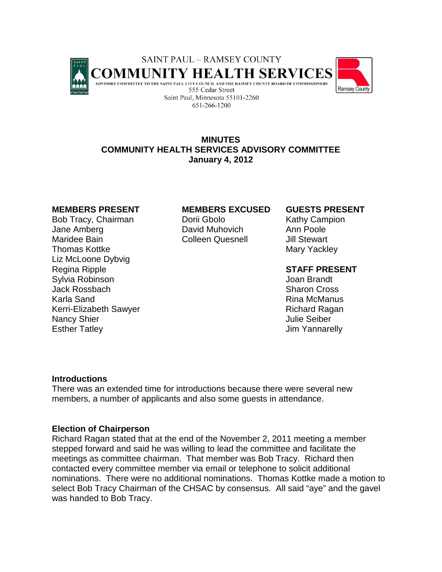



# **MINUTES COMMUNITY HEALTH SERVICES ADVISORY COMMITTEE January 4, 2012**

Bob Tracy, Chairman **Dorii Gbolo** Kathy Campion Jane Amberg **David Muhovich** Ann Poole Maridee Bain Colleen Quesnell Jill Stewart Thomas Kottke Mary Yackley Liz McLoone Dybvig Regina Ripple **Regina Ripple 19th Contract Contract Contract Contract Contract Contract Contract Contract Contra<br>Regina Robinson Contract Contract Contract Contract Contract Contract Contract Contract Contract Contract Con** Sylvia Robinson Jack Rossbach Sharon Cross (Sharon Cross Sharon Cross Sharon Cross Sharon Cross Sharon Cross Sharon Cross Sharon Cross Sharon Cross Sharon Cross Sharon Cross Sharon Cross Sharon Cross Sharon Cross Sharon Cross Sharon Cross Karla Sand Rina McManus Kerri-Elizabeth Sawyer **Richard Ragan** Nancy Shier **Nancy Shier** Julie Seiber Esther Tatley **Internal Contract Contract Contract Contract Contract Contract Contract Contract Contract Contract Contract Contract Contract Contract Contract Contract Contract Contract Contract Contract Contract Contract** 

### **MEMBERS PRESENT MEMBERS EXCUSED GUESTS PRESENT**

### **Introductions**

There was an extended time for introductions because there were several new members, a number of applicants and also some guests in attendance.

### **Election of Chairperson**

Richard Ragan stated that at the end of the November 2, 2011 meeting a member stepped forward and said he was willing to lead the committee and facilitate the meetings as committee chairman. That member was Bob Tracy. Richard then contacted every committee member via email or telephone to solicit additional nominations. There were no additional nominations. Thomas Kottke made a motion to select Bob Tracy Chairman of the CHSAC by consensus. All said "aye" and the gavel was handed to Bob Tracy.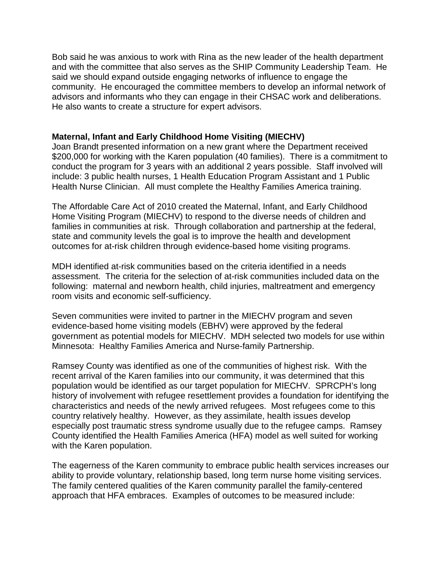Bob said he was anxious to work with Rina as the new leader of the health department and with the committee that also serves as the SHIP Community Leadership Team. He said we should expand outside engaging networks of influence to engage the community. He encouraged the committee members to develop an informal network of advisors and informants who they can engage in their CHSAC work and deliberations. He also wants to create a structure for expert advisors.

## **Maternal, Infant and Early Childhood Home Visiting (MIECHV)**

Joan Brandt presented information on a new grant where the Department received \$200,000 for working with the Karen population (40 families). There is a commitment to conduct the program for 3 years with an additional 2 years possible. Staff involved will include: 3 public health nurses, 1 Health Education Program Assistant and 1 Public Health Nurse Clinician. All must complete the Healthy Families America training.

The Affordable Care Act of 2010 created the Maternal, Infant, and Early Childhood Home Visiting Program (MIECHV) to respond to the diverse needs of children and families in communities at risk. Through collaboration and partnership at the federal, state and community levels the goal is to improve the health and development outcomes for at-risk children through evidence-based home visiting programs.

MDH identified at-risk communities based on the criteria identified in a needs assessment. The criteria for the selection of at-risk communities included data on the following: maternal and newborn health, child injuries, maltreatment and emergency room visits and economic self-sufficiency.

Seven communities were invited to partner in the MIECHV program and seven evidence-based home visiting models (EBHV) were approved by the federal government as potential models for MIECHV. MDH selected two models for use within Minnesota: Healthy Families America and Nurse-family Partnership.

Ramsey County was identified as one of the communities of highest risk. With the recent arrival of the Karen families into our community, it was determined that this population would be identified as our target population for MIECHV. SPRCPH's long history of involvement with refugee resettlement provides a foundation for identifying the characteristics and needs of the newly arrived refugees. Most refugees come to this country relatively healthy. However, as they assimilate, health issues develop especially post traumatic stress syndrome usually due to the refugee camps. Ramsey County identified the Health Families America (HFA) model as well suited for working with the Karen population.

The eagerness of the Karen community to embrace public health services increases our ability to provide voluntary, relationship based, long term nurse home visiting services. The family centered qualities of the Karen community parallel the family-centered approach that HFA embraces. Examples of outcomes to be measured include: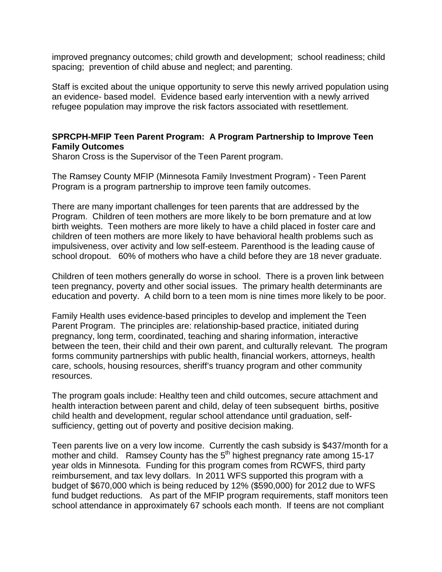improved pregnancy outcomes; child growth and development; school readiness; child spacing; prevention of child abuse and neglect; and parenting.

Staff is excited about the unique opportunity to serve this newly arrived population using an evidence- based model. Evidence based early intervention with a newly arrived refugee population may improve the risk factors associated with resettlement.

# **SPRCPH-MFIP Teen Parent Program: A Program Partnership to Improve Teen Family Outcomes**

Sharon Cross is the Supervisor of the Teen Parent program.

The Ramsey County MFIP (Minnesota Family Investment Program) - Teen Parent Program is a program partnership to improve teen family outcomes.

There are many important challenges for teen parents that are addressed by the Program. Children of teen mothers are more likely to be born premature and at low birth weights. Teen mothers are more likely to have a child placed in foster care and children of teen mothers are more likely to have behavioral health problems such as impulsiveness, over activity and low self-esteem. Parenthood is the leading cause of school dropout. 60% of mothers who have a child before they are 18 never graduate.

Children of teen mothers generally do worse in school. There is a proven link between teen pregnancy, poverty and other social issues. The primary health determinants are education and poverty. A child born to a teen mom is nine times more likely to be poor.

Family Health uses evidence-based principles to develop and implement the Teen Parent Program. The principles are: relationship-based practice, initiated during pregnancy, long term, coordinated, teaching and sharing information, interactive between the teen, their child and their own parent, and culturally relevant. The program forms community partnerships with public health, financial workers, attorneys, health care, schools, housing resources, sheriff's truancy program and other community resources.

The program goals include: Healthy teen and child outcomes, secure attachment and health interaction between parent and child, delay of teen subsequent births, positive child health and development, regular school attendance until graduation, selfsufficiency, getting out of poverty and positive decision making.

Teen parents live on a very low income. Currently the cash subsidy is \$437/month for a mother and child. Ramsey County has the 5<sup>th</sup> highest pregnancy rate among 15-17 year olds in Minnesota. Funding for this program comes from RCWFS, third party reimbursement, and tax levy dollars. In 2011 WFS supported this program with a budget of \$670,000 which is being reduced by 12% (\$590,000) for 2012 due to WFS fund budget reductions. As part of the MFIP program requirements, staff monitors teen school attendance in approximately 67 schools each month. If teens are not compliant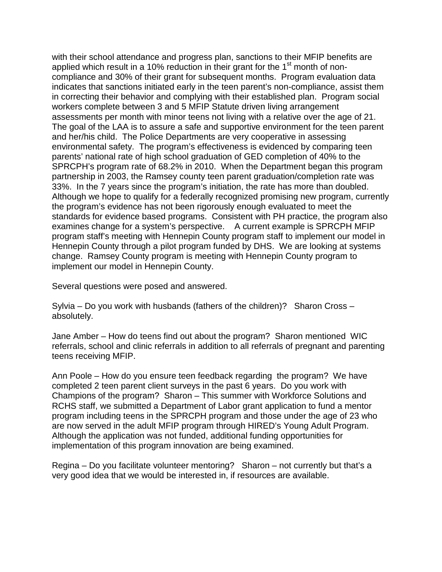with their school attendance and progress plan, sanctions to their MFIP benefits are applied which result in a 10% reduction in their grant for the  $1<sup>st</sup>$  month of noncompliance and 30% of their grant for subsequent months. Program evaluation data indicates that sanctions initiated early in the teen parent's non-compliance, assist them in correcting their behavior and complying with their established plan. Program social workers complete between 3 and 5 MFIP Statute driven living arrangement assessments per month with minor teens not living with a relative over the age of 21. The goal of the LAA is to assure a safe and supportive environment for the teen parent and her/his child. The Police Departments are very cooperative in assessing environmental safety. The program's effectiveness is evidenced by comparing teen parents' national rate of high school graduation of GED completion of 40% to the SPRCPH's program rate of 68.2% in 2010. When the Department began this program partnership in 2003, the Ramsey county teen parent graduation/completion rate was 33%. In the 7 years since the program's initiation, the rate has more than doubled. Although we hope to qualify for a federally recognized promising new program, currently the program's evidence has not been rigorously enough evaluated to meet the standards for evidence based programs. Consistent with PH practice, the program also examines change for a system's perspective. A current example is SPRCPH MFIP program staff's meeting with Hennepin County program staff to implement our model in Hennepin County through a pilot program funded by DHS. We are looking at systems change. Ramsey County program is meeting with Hennepin County program to implement our model in Hennepin County.

Several questions were posed and answered.

Sylvia – Do you work with husbands (fathers of the children)? Sharon Cross – absolutely.

Jane Amber – How do teens find out about the program? Sharon mentioned WIC referrals, school and clinic referrals in addition to all referrals of pregnant and parenting teens receiving MFIP.

Ann Poole – How do you ensure teen feedback regarding the program? We have completed 2 teen parent client surveys in the past 6 years. Do you work with Champions of the program? Sharon – This summer with Workforce Solutions and RCHS staff, we submitted a Department of Labor grant application to fund a mentor program including teens in the SPRCPH program and those under the age of 23 who are now served in the adult MFIP program through HIRED's Young Adult Program. Although the application was not funded, additional funding opportunities for implementation of this program innovation are being examined.

Regina – Do you facilitate volunteer mentoring? Sharon – not currently but that's a very good idea that we would be interested in, if resources are available.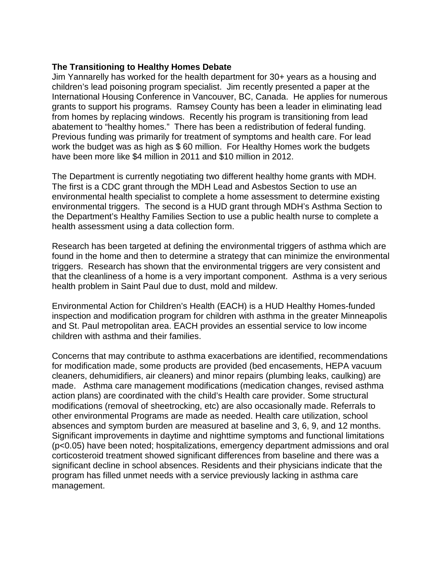# **The Transitioning to Healthy Homes Debate**

Jim Yannarelly has worked for the health department for 30+ years as a housing and children's lead poisoning program specialist. Jim recently presented a paper at the International Housing Conference in Vancouver, BC, Canada. He applies for numerous grants to support his programs. Ramsey County has been a leader in eliminating lead from homes by replacing windows. Recently his program is transitioning from lead abatement to "healthy homes." There has been a redistribution of federal funding. Previous funding was primarily for treatment of symptoms and health care. For lead work the budget was as high as \$ 60 million. For Healthy Homes work the budgets have been more like \$4 million in 2011 and \$10 million in 2012.

The Department is currently negotiating two different healthy home grants with MDH. The first is a CDC grant through the MDH Lead and Asbestos Section to use an environmental health specialist to complete a home assessment to determine existing environmental triggers. The second is a HUD grant through MDH's Asthma Section to the Department's Healthy Families Section to use a public health nurse to complete a health assessment using a data collection form.

Research has been targeted at defining the environmental triggers of asthma which are found in the home and then to determine a strategy that can minimize the environmental triggers. Research has shown that the environmental triggers are very consistent and that the cleanliness of a home is a very important component. Asthma is a very serious health problem in Saint Paul due to dust, mold and mildew.

Environmental Action for Children's Health (EACH) is a HUD Healthy Homes-funded inspection and modification program for children with asthma in the greater Minneapolis and St. Paul metropolitan area. EACH provides an essential service to low income children with asthma and their families.

Concerns that may contribute to asthma exacerbations are identified, recommendations for modification made, some products are provided (bed encasements, HEPA vacuum cleaners, dehumidifiers, air cleaners) and minor repairs (plumbing leaks, caulking) are made. Asthma care management modifications (medication changes, revised asthma action plans) are coordinated with the child's Health care provider. Some structural modifications (removal of sheetrocking, etc) are also occasionally made. Referrals to other environmental Programs are made as needed. Health care utilization, school absences and symptom burden are measured at baseline and 3, 6, 9, and 12 months. Significant improvements in daytime and nighttime symptoms and functional limitations (p<0.05) have been noted; hospitalizations, emergency department admissions and oral corticosteroid treatment showed significant differences from baseline and there was a significant decline in school absences. Residents and their physicians indicate that the program has filled unmet needs with a service previously lacking in asthma care management.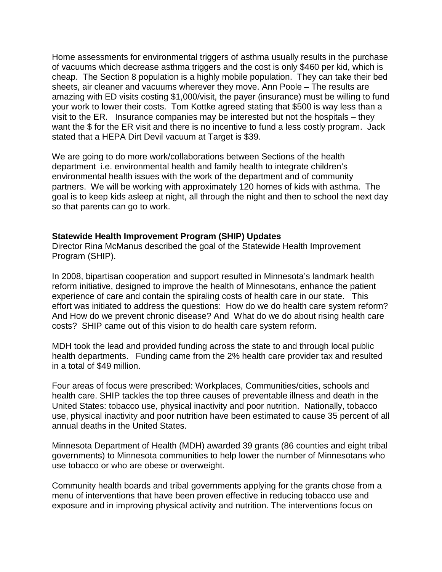Home assessments for environmental triggers of asthma usually results in the purchase of vacuums which decrease asthma triggers and the cost is only \$460 per kid, which is cheap. The Section 8 population is a highly mobile population. They can take their bed sheets, air cleaner and vacuums wherever they move. Ann Poole – The results are amazing with ED visits costing \$1,000/visit, the payer (insurance) must be willing to fund your work to lower their costs. Tom Kottke agreed stating that \$500 is way less than a visit to the ER. Insurance companies may be interested but not the hospitals – they want the \$ for the ER visit and there is no incentive to fund a less costly program. Jack stated that a HEPA Dirt Devil vacuum at Target is \$39.

We are going to do more work/collaborations between Sections of the health department i.e. environmental health and family health to integrate children's environmental health issues with the work of the department and of community partners. We will be working with approximately 120 homes of kids with asthma. The goal is to keep kids asleep at night, all through the night and then to school the next day so that parents can go to work.

## **Statewide Health Improvement Program (SHIP) Updates**

Director Rina McManus described the goal of the Statewide Health Improvement Program (SHIP).

In 2008, bipartisan cooperation and support resulted in Minnesota's landmark health reform initiative, designed to improve the health of Minnesotans, enhance the patient experience of care and contain the spiraling costs of health care in our state. This effort was initiated to address the questions: How do we do health care system reform? And How do we prevent chronic disease? And What do we do about rising health care costs? SHIP came out of this vision to do health care system reform.

MDH took the lead and provided funding across the state to and through local public health departments. Funding came from the 2% health care provider tax and resulted in a total of \$49 million.

Four areas of focus were prescribed: Workplaces, Communities/cities, schools and health care. SHIP tackles the top three causes of preventable illness and death in the United States: tobacco use, physical inactivity and poor nutrition. Nationally, tobacco use, physical inactivity and poor nutrition have been estimated to cause 35 percent of all annual deaths in the United States.

Minnesota Department of Health (MDH) awarded 39 grants (86 counties and eight tribal governments) to Minnesota communities to help lower the number of Minnesotans who use tobacco or who are obese or overweight.

Community health boards and tribal governments applying for the grants chose from a menu of interventions that have been proven effective in reducing tobacco use and exposure and in improving physical activity and nutrition. The interventions focus on